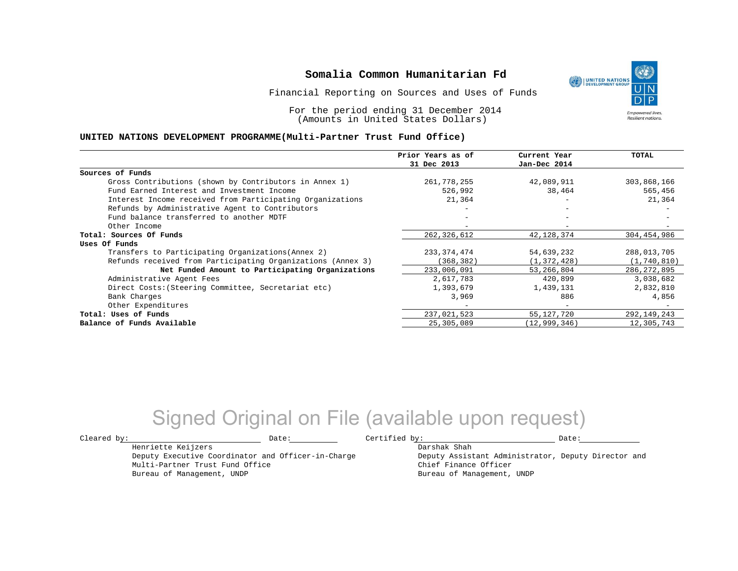Financial Reporting on Sources and Uses of Funds

For the period ending 31 December 2014 (Amounts in United States Dollars)

#### **UNITED NATIONS DEVELOPMENT PROGRAMME(Multi-Partner Trust Fund Office)**

|                                                             | Prior Years as of | Current Year                 | TOTAL         |
|-------------------------------------------------------------|-------------------|------------------------------|---------------|
|                                                             | 31 Dec 2013       | Jan-Dec 2014                 |               |
| Sources of Funds                                            |                   |                              |               |
| Gross Contributions (shown by Contributors in Annex 1)      | 261,778,255       | 42,089,911                   | 303,868,166   |
| Fund Earned Interest and Investment Income                  | 526,992           | 38,464                       | 565,456       |
| Interest Income received from Participating Organizations   | 21,364            |                              | 21,364        |
| Refunds by Administrative Agent to Contributors             |                   | $\qquad \qquad \blacksquare$ |               |
| Fund balance transferred to another MDTF                    |                   |                              |               |
| Other Income                                                |                   |                              |               |
| Total: Sources Of Funds                                     | 262,326,612       | 42,128,374                   | 304,454,986   |
| Uses Of Funds                                               |                   |                              |               |
| Transfers to Participating Organizations (Annex 2)          | 233, 374, 474     | 54,639,232                   | 288,013,705   |
| Refunds received from Participating Organizations (Annex 3) | (368, 382)        | (1, 372, 428)                | (1, 740, 810) |
| Net Funded Amount to Participating Organizations            | 233,006,091       | 53,266,804                   | 286, 272, 895 |
| Administrative Agent Fees                                   | 2,617,783         | 420,899                      | 3,038,682     |
| Direct Costs: (Steering Committee, Secretariat etc)         | 1,393,679         | 1,439,131                    | 2,832,810     |
| Bank Charges                                                | 3,969             | 886                          | 4,856         |
| Other Expenditures                                          |                   | $\overline{\phantom{m}}$     |               |
| Total: Uses of Funds                                        | 237,021,523       | 55, 127, 720                 | 292,149,243   |
| Balance of Funds Available                                  | 25,305,089        | (12, 999, 346)               | 12,305,743    |

## Signed Original on File (available upon request)

Henriette Keijzers

Multi-Partner Trust Fund Office Bureau of Management, UNDP

Deputy Executive Coordinator and Officer-in-Charge

 $\texttt{Cleared by:}\footnotesize \begin{minipage}{0.9\linewidth} \texttt{Date:}\footnotesize \begin{minipage}{0.9\linewidth} \texttt{Date:}\footnotesize \begin{minipage}{0.9\linewidth} \end{minipage} \end{minipage}$ 

Darshak Shah

Deputy Assistant Administrator, Deputy Director and Chief Finance Officer Bureau of Management, UNDP

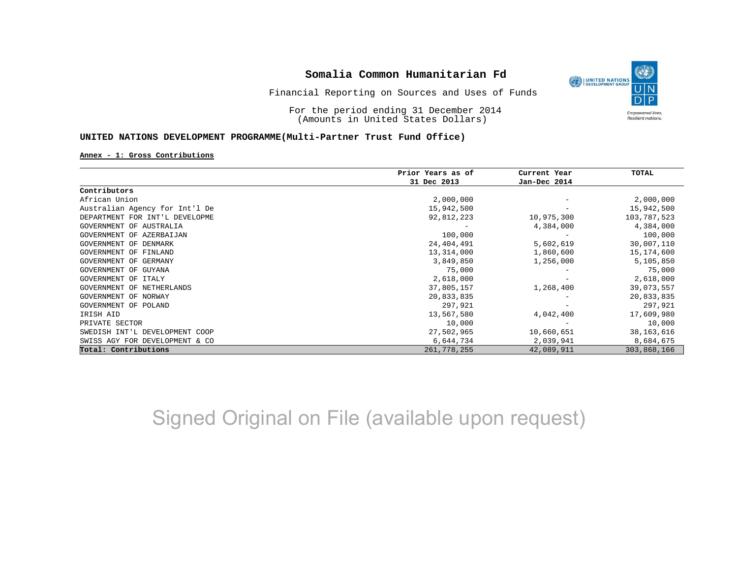

For the period ending 31 December 2014 (Amounts in United States Dollars)

### **UNITED NATIONS DEVELOPMENT PROGRAMME(Multi-Partner Trust Fund Office)**

#### **Annex - 1: Gross Contributions**

|                                | Prior Years as of | Current Year | TOTAL        |
|--------------------------------|-------------------|--------------|--------------|
|                                | 31 Dec 2013       | Jan-Dec 2014 |              |
| Contributors                   |                   |              |              |
| African Union                  | 2,000,000         |              | 2,000,000    |
| Australian Agency for Int'l De | 15,942,500        |              | 15,942,500   |
| DEPARTMENT FOR INT'L DEVELOPME | 92,812,223        | 10,975,300   | 103,787,523  |
| GOVERNMENT OF AUSTRALIA        |                   | 4,384,000    | 4,384,000    |
| GOVERNMENT OF AZERBAIJAN       | 100,000           |              | 100,000      |
| GOVERNMENT OF DENMARK          | 24,404,491        | 5,602,619    | 30,007,110   |
| GOVERNMENT OF FINLAND          | 13,314,000        | 1,860,600    | 15,174,600   |
| GOVERNMENT OF GERMANY          | 3,849,850         | 1,256,000    | 5,105,850    |
| GOVERNMENT OF GUYANA           | 75,000            |              | 75,000       |
| GOVERNMENT OF ITALY            | 2,618,000         |              | 2,618,000    |
| GOVERNMENT OF NETHERLANDS      | 37,805,157        | 1,268,400    | 39,073,557   |
| GOVERNMENT OF NORWAY           | 20,833,835        |              | 20,833,835   |
| GOVERNMENT OF POLAND           | 297,921           |              | 297,921      |
| IRISH AID                      | 13,567,580        | 4,042,400    | 17,609,980   |
| PRIVATE SECTOR                 | 10,000            |              | 10,000       |
| SWEDISH INT'L DEVELOPMENT COOP | 27,502,965        | 10,660,651   | 38, 163, 616 |
| SWISS AGY FOR DEVELOPMENT & CO | 6,644,734         | 2,039,941    | 8,684,675    |
| Total: Contributions           | 261,778,255       | 42,089,911   | 303,868,166  |

# Signed Original on File (available upon request)

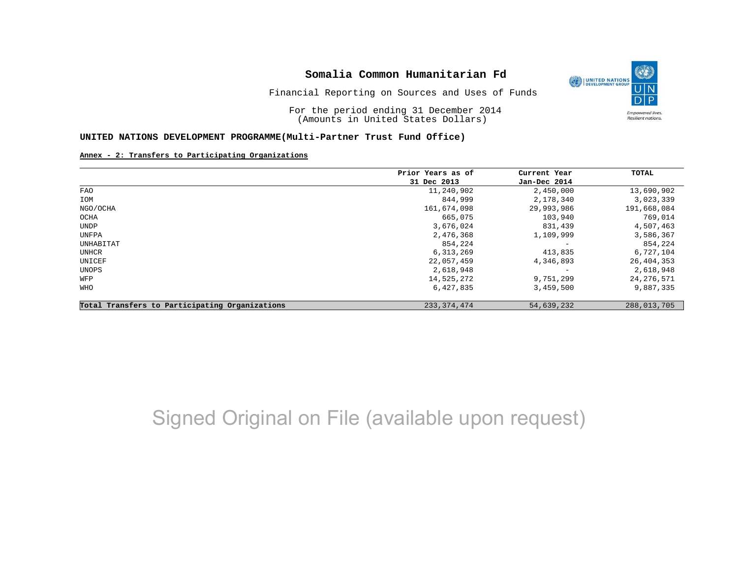

Financial Reporting on Sources and Uses of Funds

For the period ending 31 December 2014 (Amounts in United States Dollars)

#### **UNITED NATIONS DEVELOPMENT PROGRAMME(Multi-Partner Trust Fund Office)**

#### **Annex - 2: Transfers to Participating Organizations**

|                                                | Prior Years as of | Current Year             | TOTAL        |
|------------------------------------------------|-------------------|--------------------------|--------------|
|                                                | 31 Dec 2013       | Jan-Dec 2014             |              |
| <b>FAO</b>                                     | 11,240,902        | 2,450,000                | 13,690,902   |
| IOM                                            | 844,999           | 2,178,340                | 3,023,339    |
| NGO/OCHA                                       | 161,674,098       | 29,993,986               | 191,668,084  |
| OCHA                                           | 665,075           | 103,940                  | 769,014      |
| UNDP                                           | 3,676,024         | 831,439                  | 4,507,463    |
| UNFPA                                          | 2,476,368         | 1,109,999                | 3,586,367    |
| UNHABITAT                                      | 854,224           | $\overline{\phantom{m}}$ | 854,224      |
| UNHCR                                          | 6,313,269         | 413,835                  | 6,727,104    |
| UNICEF                                         | 22,057,459        | 4,346,893                | 26,404,353   |
| UNOPS                                          | 2,618,948         | $\overline{\phantom{m}}$ | 2,618,948    |
| WFP                                            | 14,525,272        | 9,751,299                | 24, 276, 571 |
| WHO                                            | 6,427,835         | 3,459,500                | 9,887,335    |
| Total Transfers to Participating Organizations | 233, 374, 474     | 54,639,232               | 288,013,705  |

# Signed Original on File (available upon request)